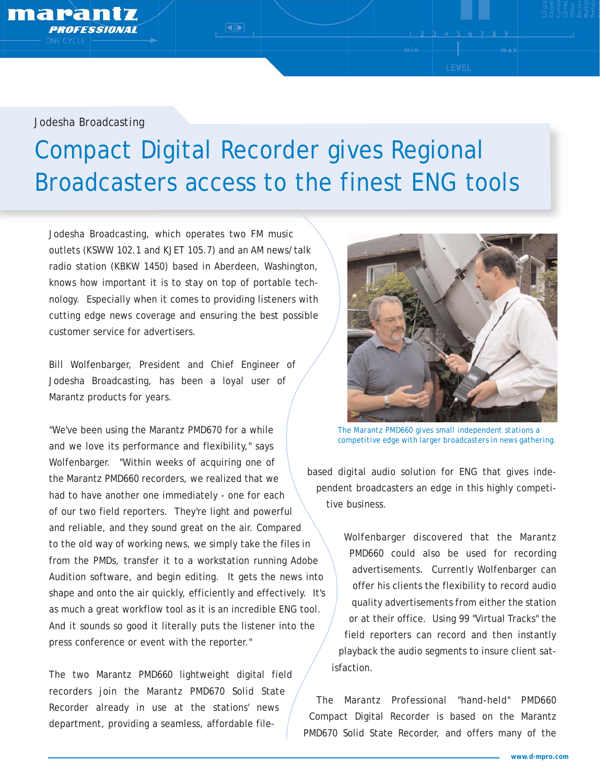*Jodesha Broadcasting*

marant

## Compact Digital Recorder gives Regional Broadcasters access to the finest ENG tools

 $\blacksquare$ 

Jodesha Broadcasting, which operates two FM music outlets (KSWW 102.1 and KJET 105.7) and an AM news/talk radio station (KBKW 1450) based in Aberdeen, Washington, knows how important it is to stay on top of portable technology. Especially when it comes to providing listeners with cutting edge news coverage and ensuring the best possible customer service for advertisers.

Bill Wolfenbarger, President and Chief Engineer of Jodesha Broadcasting, has been a loyal user of Marantz products for years.

"We've been using the Marantz PMD670 for a while and we love its performance and flexibility," says Wolfenbarger. "Within weeks of acquiring one of the Marantz PMD660 recorders, we realized that we had to have another one immediately - one for each of our two field reporters. They're light and powerful and reliable, and they sound great on the air. Compared to the old way of working news, we simply take the files in from the PMDs, transfer it to a workstation running Adobe Audition software, and begin editing. It gets the news into shape and onto the air quickly, efficiently and effectively. It's as much a great workflow tool as it is an incredible ENG tool. And it sounds so good it literally puts the listener into the press conference or event with the reporter."

The two Marantz PMD660 lightweight digital field recorders join the Marantz PMD670 Solid State Recorder already in use at the stations' news department, providing a seamless, affordable file-



LEVEL

*The Marantz PMD660 gives small independent stations a competitive edge with larger broadcasters in news gathering.* 

based digital audio solution for ENG that gives independent broadcasters an edge in this highly competitive business.

Wolfenbarger discovered that the Marantz PMD660 could also be used for recording advertisements. Currently Wolfenbarger can offer his clients the flexibility to record audio quality advertisements from either the station or at their office. Using 99 "Virtual Tracks" the field reporters can record and then instantly playback the audio segments to insure client satisfaction.

The Marantz Professional "hand-held" PMD660 Compact Digital Recorder is based on the Marantz PMD670 Solid State Recorder, and offers many of the